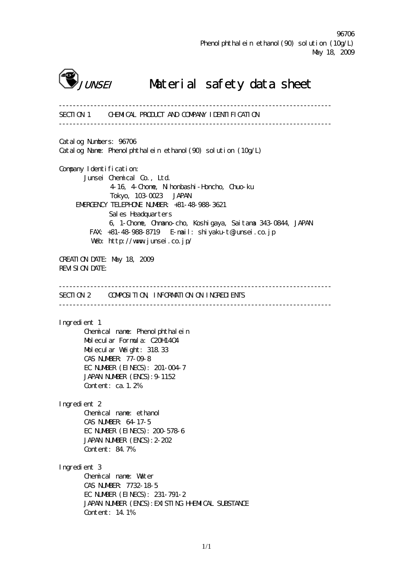

# J*unsei* Material safety data sheet

------------------------------------------------------------------------------ SECTION 1 CHEMICAL PRODUCT AND COMPANY IDENTIFICATION ------------------------------------------------------------------------------ Catalog Numbers: 96706 Catalog Name: Phenolphthalein ethanol (90) solution (10g/L) Company I dentification: Junsei Chemical Co., Ltd. 4-16, 4-Chome, Nihonbashi-Honcho, Chuo-ku Tokyo, 103-0023 JAPAN EMERGENCY TELEPHONE NUMBER: +81-48-988-3621 Sales Headquarters 6, 1-Chome, Ohmano-cho, Koshigaya, Saitama 343-0844, JAPAN FAX: +81-48-988-8719 E-mail: shiyaku-t@junsei.co.jp Web: http://www.junsei.co.jp/ CREATION DATE: May 18, 2009 REVISION DATE: ------------------------------------------------------------------------------ SECTION 2 CONFOSITION, INFORMATION ON INGREDIENTS ------------------------------------------------------------------------------ Ingredient 1 Chemical name: Phenolphthalein Molecular Formula: C20H14O4 Molecular Weight: 318.33 CAS NUMBER: 77-09-8 EC NUMBER (EINECS): 201-004-7 JAPAN NUMBER (ENCS): 9-1152 Content: ca.1.2% Ingredient 2 Chemical name: ethanol CAS NUMBER: 64-17-5 EC NUMBER (EINECS): 200-578-6 JAPAN NUMBER (ENCS):2-202 Content: 84.7% Ingredient 3 Chemical name: Water CAS NUMBER: 7732-18-5 EC NUMBER (EINECS): 231-791-2 JAPAN NUMBER (ENCS): EXISTING HHEMICAL SUBSTANCE Content: 14.1%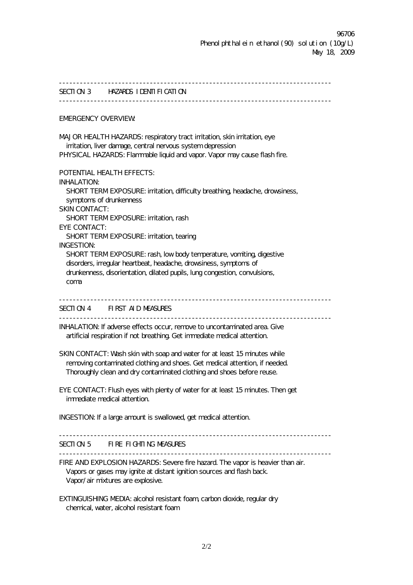------------------------------------------------------------------------------ SECTION 3 HAZARDS IDENTIFICATION ------------------------------------------------------------------------------ EMERGENCY OVERVIEW: MAJOR HEALTH HAZARDS: respiratory tract irritation, skin irritation, eye irritation, liver damage, central nervous system depression PHYSICAL HAZARDS: Flammable liquid and vapor. Vapor may cause flash fire. POTENTIAL HEALTH EFFECTS: INHALATION: SHORT TERM EXPOSURE: irritation, difficulty breathing, headache, drowsiness, symptoms of drunkenness SKIN CONTACT: SHORT TERMEXPOSURE: irritation, rash EYE CONTACT: SHORT TERMEXPOSURE: irritation, tearing INGESTION: SHORT TERM EXPOSURE: rash, low body temperature, vomiting, digestive disorders, irregular heartbeat, headache, drowsiness, symptoms of drunkenness, disorientation, dilated pupils, lung congestion, convulsions, coma ------------------------------------------------------------------------------ SECTION 4 FIRST AID MEASURES ------------------------------------------------------------------------------ INHALATION: If adverse effects occur, remove to uncontaminated area. Give artificial respiration if not breathing. Get immediate medical attention. SKIN CONTACT: Wash skin with soap and water for at least 15 minutes while removing contaminated clothing and shoes. Get medical attention, if needed. Thoroughly clean and dry contaminated clothing and shoes before reuse. EYE CONTACT: Flush eyes with plenty of water for at least 15 minutes. Then get immediate medical attention. INGESTION: If a large amount is swallowed, get medical attention. ------------------------------------------------------------------------------ SECTION 5 FIRE FIGHTING MEASURES ------------------------------------------------------------------------------ FIRE AND EXPLOSION HAZARDS: Severe fire hazard. The vapor is heavier than air. Vapors or gases may ignite at distant ignition sources and flash back. Vapor/air mixtures are explosive. EXTINGUISHING MEDIA: alcohol resistant foam, carbon dioxide, regular dry chemical, water, alcohol resistant foam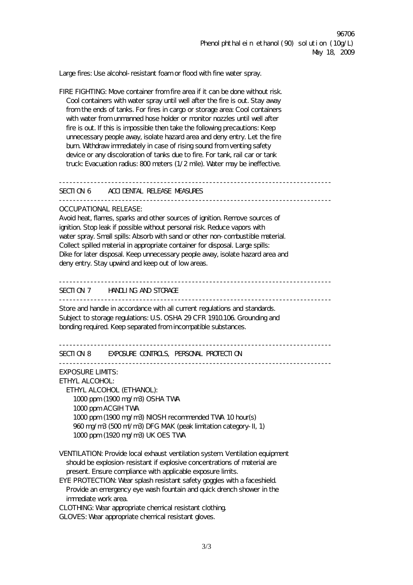Large fires: Use alcohol-resistant foam or flood with fine water spray.

FIRE FIGHTING: Move container from fire area if it can be done without risk. Cool containers with water spray until well after the fire is out. Stay away from the ends of tanks. For fires in cargo or storage area: Cool containers with water from unmanned hose holder or monitor nozzles until well after fire is out. If this is impossible then take the following precautions: Keep unnecessary people away, isolate hazard area and deny entry. Let the fire burn. Withdraw immediately in case of rising sound from venting safety device or any discoloration of tanks due to fire. For tank, rail car or tank truck: Evacuation radius: 800 meters (1/2 mile). Water may be ineffective.

 $-$ 

SECTION 6 ACCIDENTAL RELEASE MEASURES

------------------------------------------------------------------------------

### OCCUPATIONAL RELEASE:

Avoid heat, flames, sparks and other sources of ignition. Remove sources of ignition. Stop leak if possible without personal risk. Reduce vapors with water spray. Small spills: Absorb with sand or other non-combustible material. Collect spilled material in appropriate container for disposal. Large spills: Dike for later disposal. Keep unnecessary people away, isolate hazard area and deny entry. Stay upwind and keep out of low areas.

# $-$

SECTION 7 HANDLING AND STORAGE

------------------------------------------------------------------------------

Store and handle in accordance with all current regulations and standards. Subject to storage regulations: U.S. OSHA 29 CFR 1910.106. Grounding and bonding required. Keep separated from incompatible substances.

```
------------------------------------------------------------------------------
```
### SECTION 8 EXPOSURE CONTROLS, PERSONAL PROTECTION

------------------------------------------------------------------------------

EXPOSURE LIMITS:

ETHYL ALCOHOL:

 ETHYL ALCOHOL (ETHANOL): 1000 ppm (1900 mg/m3) OSHA TWA 1000 ppm ACGIH TWA 1000 ppm (1900 mg/m3) NIOSH recommended TWA 10 hour(s) 960 mg/m3 (500 ml/m3) DFG MAK (peak limitation category-II, 1) 1000 ppm (1920 mg/m3) UK OES TWA

VENTILATION: Provide local exhaust ventilation system. Ventilation equipment should be explosion-resistant if explosive concentrations of material are present. Ensure compliance with applicable exposure limits.

EYE PROTECTION: Wear splash resistant safety goggles with a faceshield. Provide an emergency eye wash fountain and quick drench shower in the immediate work area.

CLOTHING: Wear appropriate chemical resistant clothing.

GLOVES: Wear appropriate chemical resistant gloves.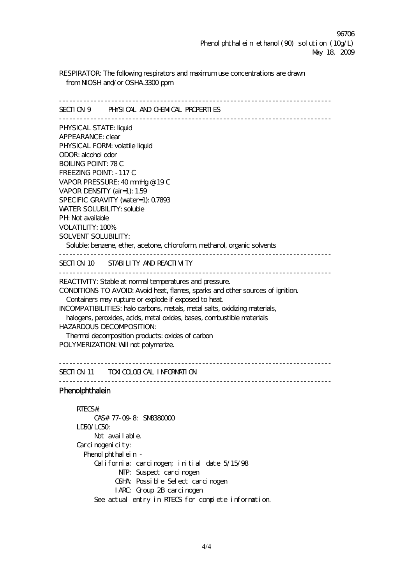RESPIRATOR: The following respirators and maximum use concentrations are drawn from NIOSH and/or OSHA.3300 ppm

------------------------------------------------------------------------------ SECTION 9 PHYSICAL AND CHEMICAL PROPERTIES ------------------------------------------------------------------------------ PHYSICAL STATE: liquid APPEARANCE: clear PHYSICAL FORM volatile liquid ODOR: alcohol odor BOILING POINT: 78 C FREEZING POINT: -117 C VAPOR PRESSURE: 40 mmHg @ 19 C VAPOR DENSITY (air=1): 1.59 SPECIFIC GRAVITY (water=1): 0.7893 WATER SOLUBILITY: soluble PH: Not available VOLATILITY: 100% SOLVENT SOLUBILITY: Soluble: benzene, ether, acetone, chloroform, methanol, organic solvents ------------------------------------------------------------------------------ SECTION 10 STABILITY AND REACTIVITY ------------------------------------------------------------------------------ REACTIVITY: Stable at normal temperatures and pressure. CONDITIONS TO AVOID: Avoid heat, flames, sparks and other sources of ignition. Containers may rupture or explode if exposed to heat. INCOMPATIBILITIES: halo carbons, metals, metal salts, oxidizing materials, halogens, peroxides, acids, metal oxides, bases, combustible materials HAZARDOUS DECOMPOSITION: Thermal decomposition products: oxides of carbon POLYMERIZATION: Will not polymerize. ------------------------------------------------------------------------------

SECTION 11 TOXICOLOGICAL INFORMATION

------------------------------------------------------------------------------

## **Phenolphthalein**

 RTECS#: CAS# 77-09-8: SM8380000 LD50/LC50: Not avail able. Carcinogenicity: Phenol phthalein - California: carcinogen; initial date 5/15/98 NTP: Suspect carcinogen OSHA: Possible Select carcinogen IARC: Group 2B carcinogen See actual entry in RTECS for complete information.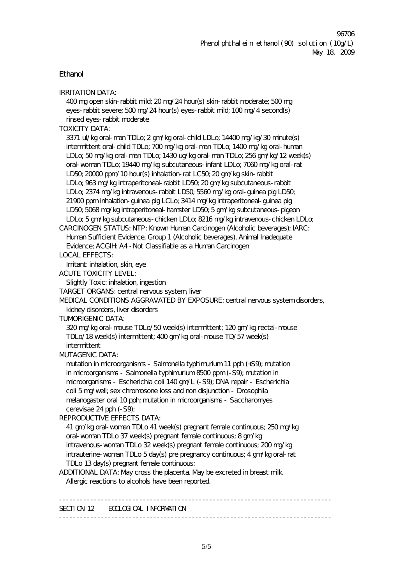# Ethanol

| <b>IRRITATION DATA:</b>                                                       |
|-------------------------------------------------------------------------------|
| 400 mg open skin-rabbit mild; 20 mg/24 hour(s) skin-rabbit moderate; 500 mg   |
| eyes-rabbit severe; 500 mg/24 hour(s) eyes-rabbit mild; 100 mg/4 second(s)    |
| rinsed eyes-rabbit moderate                                                   |
| <b>TOXICITY DATA:</b>                                                         |
| 3371 ul/kg oral-man TDLo; 2 gm/kg oral-child LDLo; 14400 mg/kg/30 minute(s)   |
| intermittent oral-child TDLo; 700 mg/kg oral-man TDLo; 1400 mg/kg oral-human  |
| LDLo; 50 mg/kg oral-man TDLo; 1430 ug/kg oral-man TDLo; 256 gm/kg/12 week(s)  |
| oral-woman TDLo; 19440 mg/kg subcutaneous-infant LDLo; 7060 mg/kg oral-rat    |
| LD50, 20000 ppm/10 hour(s) inhalation-rat LC50, 20 gm/kg skin-rabbit          |
| LDLo; 963 mg/kg intraperitoneal-rabbit LD50, 20 gm/kg subcutaneous-rabbit     |
| LDLo; 2374 mg/kg intravenous-rabbit LD50, 5560 mg/kg oral-guinea pig LD50,    |
| 21900 ppm inhalation-guinea pig LCLo; 3414 mg/kg intraperitoneal-guinea pig   |
| LD50, 5068 mg/kg intraperitoneal-hamster LD50, 5 gm/kg subcutaneous-pigeon    |
| LDLo; 5 gm/kg subcutaneous-chicken LDLo; 8216 mg/kg intravenous-chicken LDLo; |
| CARCINOGEN STATUS: NTP: Known Human Carcinogen (Alcoholic beverages); IARC:   |
| Human Sufficient Evidence, Group 1 (Alcoholic beverages), Animal Inadequate   |
| Evidence; ACGIH: A4 - Not Classifiable as a Human Carcinogen                  |
| <b>LOCAL EFFECTS:</b>                                                         |
| Irritant: inhalation, skin, eye                                               |
| <b>ACUTE TOXICITY LEVEL:</b>                                                  |
| Slightly Toxic: inhalation, ingestion                                         |
| TARGET ORGANS: central nervous system, liver                                  |
| MEDICAL CONDITIONS AGGRAVATED BY EXPOSURE: central nervous system disorders,  |
| kidney disorders, liver disorders                                             |
| <b>TUMORIGENIC DATA:</b>                                                      |
| 320 mg/kg oral-mouse TDLo/50 week(s) intermittent; 120 gm/kg rectal-mouse     |
| TDLo/18 week(s) intermittent; 400 gm/kg oral-mouse TD/57 week(s)              |
| intermittent                                                                  |
| <b>MUTAGENIC DATA:</b>                                                        |
| mutation in microorganisms - Salmonella typhimurium 11 pph (+S9); mutation    |
| in microorganisms - Salmonella typhimurium 8500 ppm (-S9); mutation in        |
| microorganisms - Escherichia coli 140 gm/L (-S9); DNA repair - Escherichia    |
| coli 5 mg/well; sex chromosone loss and non disjunction - Drosophila          |
| melanogaster oral 10 pph; mutation in microorganisms - Saccharomyes           |
| cerevisae 24 pph (-S9);                                                       |
| <b>REPRODUCTIVE EFFECTS DATA:</b>                                             |
| 41 gm/kg oral- woman TDLo 41 week(s) pregnant female continuous; 250 mg/kg    |
| oral-woman TDLo 37 week(s) pregnant female continuous; 8 gm/kg                |
| intravenous- woman TDLo 32 week(s) pregnant female continuous; 200 mg/kg      |
| intrauterine- woman TDLo 5 day(s) pre pregnancy continuous; 4 gm/kg oral-rat  |
| TDLo 13 day(s) pregnant female continuous;                                    |
| ADDITIONAL DATA: May cross the placenta. May be excreted in breast milk.      |
| Allergic reactions to alcohols have been reported.                            |
|                                                                               |
| SECTION 12 ECOLOGICAL INFORMATION                                             |
|                                                                               |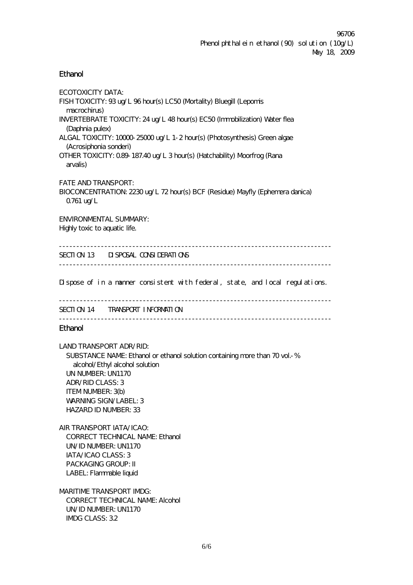### **Ethanol**

ECOTOXICITY DATA: FISH TOXICITY: 93 ug/L 96 hour(s) LC50 (Mortality) Bluegill (Lepomis macrochirus) INVERTEBRATE TOXICITY: 24 ug/L 48 hour(s) EC50 (Immobilization) Water flea (Daphnia pulex) ALGAL TOXICITY: 10000-25000 ug/L 1-2 hour(s) (Photosynthesis) Green algae (Acrosiphonia sonderi) OTHER TOXICITY: 0.89-187.40 ug/L 3 hour(s) (Hatchability) Moorfrog (Rana arvalis) FATE AND TRANSPORT: BIOCONCENTRATION: 2230 ug/L 72 hour(s) BCF (Residue) Mayfly (Ephemera danica) 0.761 ug/L ENVIRONMENTAL SUMMARY: Highly toxic to aquatic life. ------------------------------------------------------------------------------ SECTION 13 DISPOSAL CONSIDERATIONS ------------------------------------------------------------------------------

Dispose of in a manner consistent with federal, state, and local regulations.

------------------------------------------------------------------------------ SECTION 14 TRANSPORT INFORMATION ------------------------------------------------------------------------------

### Ethanol

LAND TRANSPORT ADR/RID: SUBSTANCE NAME: Ethanol or ethanol solution containing more than 70 vol.-% alcohol/Ethyl alcohol solution UN NUMBER: UN1170 ADR/RID CLASS: 3 ITEM NUMBER: 3(b) WARNING SIGN/LABEL: 3 HAZARD ID NUMBER: 33

AIR TRANSPORT IATA/ICAO: CORRECT TECHNICAL NAME: Ethanol UN/ID NUMBER: UN1170 IATA/ICAO CLASS: 3 PACKAGING GROUP: II LABEL: Flammable liquid

MARITIME TRANSPORT IMDG: CORRECT TECHNICAL NAME: Alcohol UN/ID NUMBER: UN1170 IMDG CLASS: 3.2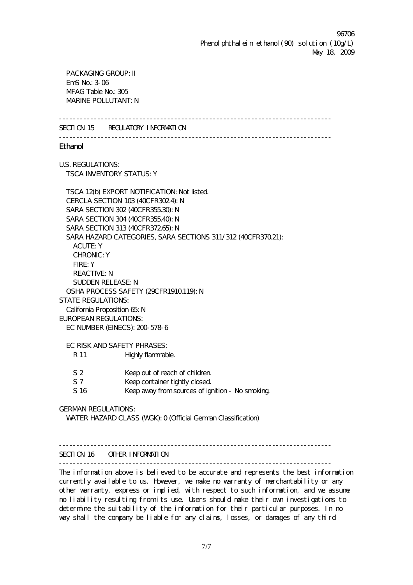96706 Phenol phthalein ethanol (90) solution (10g/L) May 18, 2009

 PACKAGING GROUP: II  $FmS$  No:  $3-06$ MFAG Table No.: 305 MARINE POLLUTANT: N

------------------------------------------------------------------------------

SECTION 15 REGULATORY INFORMATION

------------------------------------------------------------------------------

**Ethanol** 

U.S. REGULATIONS: TSCA INVENTORY STATUS: Y

TSCA 12(b) EXPORT NOTIFICATION: Not listed. CERCLA SECTION 103 (40CFR302.4): N SARA SECTION 302 (40CFR355.30): N SARA SECTION 304 (40CFR355.40): N SARA SECTION 313 (40CFR37265): N SARA HAZARD CATEGORIES, SARA SECTIONS 311/312 (40CFR370.21): ACUTE: Y CHRONIC: Y FIRE: Y REACTIVE: N SUDDEN RELEASE: N OSHA PROCESS SAFETY (29CFR1910.119): N STATE REGULATIONS: California Proposition 65: N EUROPEAN REGULATIONS: EC NUMBER (EINECS): 200-578-6

EC RISK AND SAFETY PHRASES:

- R 11 Highly flammable.
- S 2 Keep out of reach of children.
- S 7 Keep container tightly closed.
- S 16 Keep away from sources of ignition No smoking.

GERMAN REGULATIONS:

WATER HAZARD CLASS (WGK): 0 (Official German Classification)

### $-$

#### SECTION 16 OTHER INFORMATION

------------------------------------------------------------------------------

The information above is believed to be accurate and represents the best information currently available to us. However, we make no warranty of merchantability or any other warranty, express or implied, with respect to such information, and we assume no liability resulting from its use. Users should make their own investigations to determine the suitability of the information for their particular purposes. In no way shall the company be liable for any claims, losses, or damages of any third